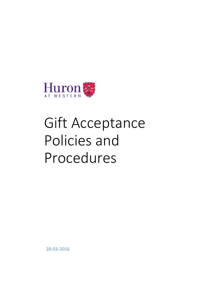

# Gift Acceptance Policies and Procedures

28-03-2016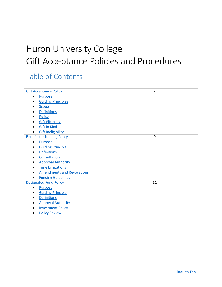# Huron University College Gift Acceptance Policies and Procedures

# <span id="page-1-0"></span>Table of Contents

| <b>Gift Acceptance Policy</b>          | $\overline{2}$ |
|----------------------------------------|----------------|
| <b>Purpose</b>                         |                |
| <b>Guiding Principles</b><br>$\bullet$ |                |
| <b>Scope</b>                           |                |
| <b>Definitions</b>                     |                |
| Policy<br>٠                            |                |
| <b>Gift Eligibility</b><br>$\bullet$   |                |
| <b>Gift in Kind</b>                    |                |
| <b>Gift Ineligibility</b>              |                |
| <b>Benefactor Naming Policy</b>        | 9              |
| Purpose<br>$\bullet$                   |                |
| <b>Guiding Principle</b><br>$\bullet$  |                |
| <b>Definitions</b>                     |                |
| Consultation<br>$\bullet$              |                |
| <b>Approval Authority</b>              |                |
| <b>Time Limitations</b>                |                |
| <b>Amendments and Revocations</b>      |                |
| <b>Funding Guidelines</b>              |                |
| <b>Designated Fund Policy</b>          | 11             |
| <b>Purpose</b><br>$\bullet$            |                |
| <b>Guiding Principle</b><br>$\bullet$  |                |
| <b>Definitions</b><br>$\bullet$        |                |
| <b>Approval Authority</b>              |                |
| <b>Investment Policy</b>               |                |
| <b>Policy Review</b>                   |                |
|                                        |                |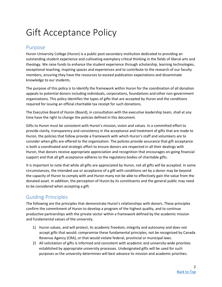# <span id="page-2-0"></span>Gift Acceptance Policy

### <span id="page-2-1"></span>Purpose

Huron University College (Huron) is a public post-secondary institution dedicated to providing an outstanding student experience and cultivating exemplary critical thinking in the fields of liberal arts and theology. We raise funds to enhance the student experience through scholarship, learning technologies, exceptional teaching, inspiring spaces and experiences and to contribute to the research of our faculty members, ensuring they have the resources to exceed publication expectations and disseminate knowledge to our students.

The purpose of this policy is to identify the framework within Huron for the coordination of all donation appeals to potential donors including individuals, corporations, foundations and other non-government organizations. This policy identifies the types of gifts that are accepted by Huron and the conditions required for issuing an official charitable tax receipt for such donations.

The Executive Board of Huron (Board), in consultation with the executive leadership team, shall at any time have the right to change the policies defined in this document.

Gifts to Huron must be consistent with Huron's mission, vision and values. In a committed effort to provide clarity, transparency and consistency in the acceptance and treatment of gifts that are made to Huron, the policies that follow provide a framework with which Huron's staff and volunteers are to consider when gifts are offered to the organization. The policies provide assurance that gift acceptance is both a coordinated and strategic effort to ensure donors are respected in all their dealings with Huron, that donors receive appropriate appreciation and recognition that encourages on-going financial support and that all gift acceptance adheres to the regulatory bodies of charitable gifts.

It is important to note that while all gifts are appreciated by Huron, not all gifts will be accepted. In some circumstances, the intended use or acceptance of a gift with conditions set by a donor may be beyond the capacity of Huron to comply with and Huron many not be able to effectively gain the value from the donated asset. In addition, the perception of Huron by its constituents and the general public may need to be considered when accepting a gift.

# <span id="page-2-2"></span>Guiding Principles

The following are the principles that demonstrate Huron's relationships with donors. These principles confirm the commitment of Huron to develop a program of the highest quality, and to continue productive partnerships with the private sector within a framework defined by the academic mission and fundamental values of the university.

- 1) Huron values, and will protect, its academic freedom, integrity and autonomy and does not accept gifts that would: compromise these fundamental principles, not be recognized by Canada Revenue Agency (CRA), or that would violate federal, provincial or municipal laws.
- 2) All solicitation of gifts is informed and consistent with academic and university-wide priorities established by appropriate university processes. Undesignated gifts will be used for such purposes as the university determines will best advance its mission and academic priorities.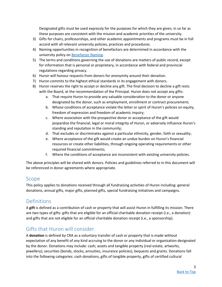Designated gifts must be used expressly for the purposes for which they are given, in so far as these purposes are consistent with the mission and academic priorities of the university.

- 3) Gifts for chairs, professorships, and other academic appointments and programs must be in full accord with all relevant university policies, practices and procedures.
- 4) Naming opportunities in recognition of benefactors are determined in accordance with the university policy on [Benefactor Naming.](#page-8-0)
- 5) The terms and conditions governing the use of donations are matters of public record, except for information that is personal or proprietary, in accordance with federal and provincial regulations regarding privacy.
- 6) Huron will honour requests from donors for anonymity around their donation.
- 7) Huron commits to the highest ethical standards in its engagement with donors.
- 8) Huron reserves the right to accept or decline any gift. The final decision to decline a gift rests with the Board, at the recommendation of the Principal. Huron does not accept any gifts:
	- a. That require Huron to provide any valuable consideration to the donor or anyone designated by the donor, such as employment, enrollment or contract procurement;
	- b. Whose conditions of acceptance violate the letter or spirit of Huron's policies on equity, freedom of expression and freedom of academic inquiry;
	- c. Where association with the prospective donor or acceptance of the gift would jeopardize the financial, legal or moral integrity of Huron, or adversely influence Huron's standing and reputation in the community;
	- d. That excludes or discriminates against a particular ethnicity, gender, faith or sexuality;
	- e. Where acceptance of the gift would create an undue burden on Huron's financial resources or create other liabilities, through ongoing operating requirements or other required financial commitments;
	- f. Where the conditions of acceptance are inconsistent with existing university policies.

The above principles will be shared with donors. Policies and guidelines referred to in this document will be referenced in donor agreements where appropriate.

### <span id="page-3-0"></span>Scope

This policy applies to donations received through all fundraising activities of Huron including: general donations, annual gifts, major gifts, planned gifts, special fundraising initiatives and campaigns.

### <span id="page-3-1"></span>Definitions

A **gift** is defined as a contribution of cash or property that will assist Huron in fulfilling its mission. There are two types of gifts: gifts that are eligible for an official charitable donation receipt (i.e., a donation) and gifts that are not eligible for an official charitable donation receipt (i.e., a sponsorship).

# Gifts that Huron will consider

A **donation** is defined by CRA as a voluntary transfer of cash or property that is made without expectation of any benefit of any kind accruing to the donor or any individual or organization designated by the donor. Donations may include: cash; assets and tangible property (real estate, artworks, jewellery); securities (bonds, stocks, annuities, insurance policies), bequests and grants. Donations fall into the following categories: cash donations, gifts of tangible property, gifts of certified cultural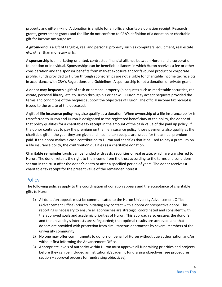property and gifts-in-kind. A donation is eligible for an official charitable donation receipt. Research grants, government grants and the like do not conform to CRA's definition of a donation or charitable gift for income tax purposes.

A **gift-in-kind** is a gift of tangible, real and personal property such as computers, equipment, real estate etc. other than monetary gifts.

A **sponsorship** is a marketing-oriented, contracted financial alliance between Huron and a corporation, foundation or individual. Sponsorships can be beneficial alliances in which Huron receives a fee or other consideration and the sponsor benefits from market exposure and/or favoured product or corporate profile. Funds provided to Huron through sponsorships are not eligible for charitable income tax receipts in accordance with CRA's Regulations and Guidelines. A sponsorship is not a donation or private grant.

A donor may **bequeath** a gift of cash or personal property (a bequest) such as marketable securities, real estate, personal library, etc. to Huron through his or her will. Huron may accept bequests provided the terms and conditions of the bequest support the objectives of Huron. The official income tax receipt is issued to the estate of the deceased.

A gift of **life insurance policy** may also qualify as a donation. When ownership of a life insurance policy is transferred to Huron and Huron is designated as the registered beneficiary of the policy, the donor of that policy qualifies for a charitable tax receipt in the amount of the cash value of the paid up policy. If the donor continues to pay the premium on the life insurance policy, those payments also qualify as the charitable gift in the year they are given and income tax receipts are issued for the annual premium paid. If the donor makes a cash contribution to Huron and specifies that it be used to pay a premium on a life insurance policy, the contribution qualifies as a charitable donation.

**Charitable remainder trusts** can be funded with cash, securities or real estate, which are transferred to Huron. The donor retains the right to the income from the trust according to the terms and conditions set out in the trust after the donor's death or after a specified period of years. The donor receives a charitable tax receipt for the present value of the remainder interest.

# <span id="page-4-0"></span>**Policy**

The following policies apply to the coordination of donation appeals and the acceptance of charitable gifts to Huron.

- 1) All donation appeals must be communicated to the Huron University Advancement Office (Advancement Office) prior to initiating any contact with a donor or prospective donor. This reporting is necessary to ensure all approaches are strategic, coordinated and consistent with the approved goals and academic priorities of Huron. This approach also ensures the donor's and the university's interests are safeguarded; that optimal results are achieved; and that donors are provided with protection from simultaneous approaches by several members of the university community.
- 2) No one may offer commitments to donors on behalf of Huron without due authorization and/or without first informing the Advancement Office.
- 3) Appropriate levels of authority within Huron must approve all fundraising priorities and projects before they can be included as institutional/academic fundraising objectives (see procedures section – approval process for fundraising objectives).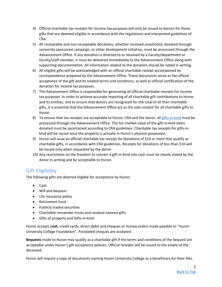- 4) Official charitable tax receipts for income tax purposes will only be issued to donors for those gifts that are deemed eligible in accordance with the regulations and interpreted guidelines of CRA.
- 5) All receiptable and non-receiptable donations, whether received unsolicited, donated through university sponsored campaign, or other development initiative, must be processed through the Advancement Office. If any donation is directed to or received by a Faculty/department or faculty/staff member, it must be delivered immediately to the Advancement Office along with supporting documentation. All information related to the donation should be noted in writing.
- 6) All eligible gifts will be acknowledged with an official charitable receipt accompanied by correspondence prepared by the Advancement Office. These documents serve as the official acceptance of the gift and its related terms and conditions, as well as official certification of the donation for income tax purposes.
- 7) The Advancement Office is responsible for generating all official charitable receipts for income tax purposes. In order to achieve accurate reporting of all charitable gift contributions to Huron and its entities, and to ensure that donors are recognized for the total of all their charitable gifts, it is essential that the Advancement Office act as the sole conduit for all charitable gifts to Huron.
- 8) To ensure that tax receipts are acceptable to Huron, CRA and the donor, all [gifts-in-kind](#page-6-0) must be processed through the Advancement Office. The fair market value of the gift-in-kind items donated must be ascertained according to CRA guidelines. Charitable tax receipts for gifts-inkind will be issued once the property is actually in Huron's physical possession.
- 9) Huron will issue an official charitable tax receipt for donations of \$10 or more that qualify as charitable gifts, in accordance with CRA guidelines. Receipts for donations of less than \$10 will be issued only when requested by the donor.
- 10) Any restrictions on the freedom to convert a gift-in-kind into cash must be clearly stated by the donor in writing and be acceptable to Huron.

# <span id="page-5-0"></span>Gift Eligibility

The following gifts are deemed eligible for acceptance by Huron:

- Cash
- Will and bequest
- Life insurance policy
- Retirement fund
- Publicly traded securities
- Charitable remainder trusts and residual interest gifts
- Gifts of property and Gifts-in-kind

Huron accepts **cash**, credit cards, direct debit and cheques or money orders made payable to "Huron University College Foundation". Postdated cheques are accepted.

**Bequests** made to Huron may qualify as a charitable gift if the terms and conditions of the bequest are acceptable under Huron's gift acceptance policies. Official receipts will be issued to the estate of the deceased.

Huron will require a copy of documents naming Huron University College as a beneficiary for their files.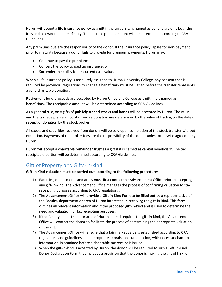Huron will accept a **life insurance policy** as a gift if the university is named as beneficiary or is both the irrevocable owner and beneficiary. The tax receiptable amount will be determined according to CRA Guidelines.

Any premiums due are the responsibility of the donor. If the insurance policy lapses for non-payment prior to maturity because a donor fails to provide for premium payments, Huron may:

- Continue to pay the premiums;
- Convert the policy to paid up insurance; or
- Surrender the policy for its current cash value.

When a life insurance policy is absolutely assigned to Huron University College, any consent that is required by provincial regulations to change a beneficiary must be signed before the transfer represents a valid charitable donation.

**Retirement fund** proceeds are accepted by Huron University College as a gift if it is named as beneficiary. The receiptable amount will be determined according to CRA Guidelines.

As a general rule, only gifts of **publicly traded stocks and bonds** will be accepted by Huron. The value and the tax receiptable amount of such a donation are determined by the value of trading on the date of receipt of donation by the stock broker.

All stocks and securities received from donors will be sold upon completion of the stock transfer without exception. Payments of the broker fees are the responsibility of the donor unless otherwise agreed to by Huron.

Huron will accept a **charitable remainder trust** as a gift if it is named as capital beneficiary. The tax receiptable portion will be determined according to CRA Guidelines.

# <span id="page-6-0"></span>Gift of Property and Gifts-in-kind

#### **Gift-in Kind valuation must be carried out according to the following procedures**

- 1) Faculties, departments and areas must first contact the Advancement Office prior to accepting any gift-in-kind. The Advancement Office manages the process of confirming valuation for tax receipting purposes according to CRA regulations.
- 2) The Advancement Office will provide a Gift-in-Kind Form to be filled out by a representative of the Faculty, department or area of Huron interested in receiving the gift-in-kind. This form outlines all relevant information about the proposed gift-in-kind and is used to determine the need and valuation for tax receipting purposes.
- 3) If the faculty, department or area of Huron indeed requires the gift-in-kind, the Advancement Office will contact the donor to facilitate the process of determining the appropriate valuation of the gift.
- 4) The Advancement Office will ensure that a fair market value is established according to CRA regulations and guidelines and appropriate appraisal documentation, with necessary backup information, is obtained before a charitable tax receipt is issued.
- 5) When the gift-in-kind is accepted by Huron, the donor will be required to sign a Gift-in-Kind Donor Declaration Form that includes a provision that the donor is making the gift of his/her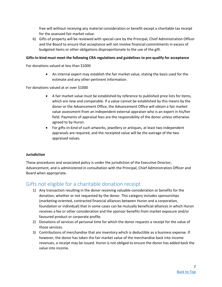free will without receiving any material consideration or benefit except a charitable tax receipt for the assessed fair market value.

6) Gifts of property will be reviewed with special care by the Principal, Chief Administration Officer and the Board to ensure that acceptance will not involve financial commitments in excess of budgeted items or other obligations disproportionate to the use of the gift.

#### **Gifts-in-kind must meet the following CRA regulations and guidelines to pre-qualify for acceptance**

For donations valued at less than \$1000

 An internal expert may establish the fair market value, stating the basis used for the estimate and any other pertinent information.

For donations valued at or over \$1000

- A fair market value must be established by reference to published price lists for items, which are new and comparable. If a value cannot be established by this means by the donor or the Advancement Office, the Advancement Office will obtain a fair market value assessment from an independent external appraiser who is an expert in his/her field. Payments of appraisal fees are the responsibility of the donor unless otherwise agreed to by Huron.
- For gifts-in-kind of such artworks, jewellery or antiques, at least two independent appraisals are required, and the receipted value will be the average of the two appraised values.

#### **Jurisdiction**

These procedures and associated policy is under the jurisdiction of the Executive Director, Advancement, and is administered in consultation with the Principal, Chief Administration Officer and Board when appropriate.

### <span id="page-7-0"></span>Gifts not eligible for a charitable donation receipt

- 1) Any transaction resulting in the donor receiving valuable consideration or benefits for the donation, whether or not requested by the donor. This category includes sponsorships (marketing-oriented, contracted financial alliances between Huron and a corporation, foundation or individual) that in some cases can be mutually beneficial alliances in which Huron receives a fee or other consideration and the sponsor benefits from market exposure and/or favoured product or corporate profile.
- 2) Donations of services of personal time for which the donor requests a receipt for the value of those services.
- 3) Contributions of merchandise that are inventory which is deductible as a business expense. If however, the donor has taken the fair market value of the merchandise back into income revenues, a receipt may be issued. Huron is not obliged to ensure the donor has added back the value into income.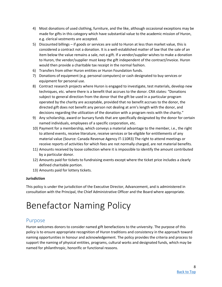- 4) Most donations of used clothing, furniture, and the like, although occasional exceptions may be made for gifts in this category which have substantial value to the academic mission of Huron, e.g. clerical vestments are accepted.
- 5) Discounted billings if goods or services are sold to Huron at less than market value, this is considered a contract not a donation. It is a well-established matter of law that the sale of an item below the value remains a sale, not a gift. If a vendor/supplier wishes to make a donation to Huron, the vendor/supplier must keep the gift independent of the contract/invoice. Huron would then provide a charitable tax receipt in the normal fashion.
- 6) Transfers from other Huron entities or Huron Foundation funds.
- 7) Donations of equipment (e.g. personal computers) or cash designated to buy services or equipment for personal use.
- 8) Contract research projects where Huron is engaged to investigate, test materials, develop new techniques, etc. where there is a benefit that accrues to the donor. CRA states: "Donations subject to general direction from the donor that the gift be used in a particular program operated by the charity are acceptable, provided that no benefit accrues to the donor, the directed gift does not benefit any person not dealing at arm's length with the donor, and decisions regarding the utilization of the donation with a program rests with the charity."
- 9) Any scholarship, award or bursary funds that are specifically designated by the donor for certain named individuals, employees of a specific corporation, etc.
- 10) Payment for a membership, which conveys a material advantage to the member, i.e., the right to attend events, receive literature, receive services or be eligible for entitlements of any material value (Source: Canada Revenue Agency IT-110R3) The right to attend meetings or receive reports of activities for which fees are not normally charged, are not material benefits.
- 11) Amounts received by loose collection where it is impossible to identify the amount contributed by a particular donor.
- 12) Amounts paid for tickets to fundraising events except where the ticket price includes a clearly defined charitable portion.
- 13) Amounts paid for lottery tickets.

#### **Jurisdiction**

This policy is under the jurisdiction of the Executive Director, Advancement, and is administered in consultation with the Principal, the Chief Administrative Officer and the Board where appropriate.

# <span id="page-8-0"></span>Benefactor Naming Policy

#### <span id="page-8-1"></span>Purpose

Huron welcomes donors to consider named gift benefactions to the university. The purpose of this policy is to ensure appropriate recognition of Huron traditions and consistency in the approach toward naming opportunities in honour and acknowledgement. The policy provides the criteria and process to support the naming of physical entities, programs, cultural works and designated funds, which may be named for philanthropic, honorific or functional reasons.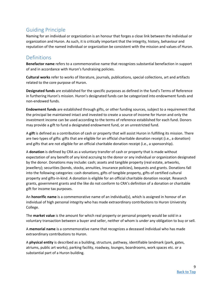# <span id="page-9-0"></span>Guiding Principle

Naming for an individual or organization is an honour that forges a close link between the individual or organization and Huron. As such, it is critically important that the integrity, history, behaviour and reputation of the named individual or organization be consistent with the mission and values of Huron.

# <span id="page-9-1"></span>**Definitions**

**Benefactor name** refers to a commemorative name that recognizes substantial benefaction in support of and in accordance with Huron's fundraising policies.

**Cultural works** refer to works of literature, journals, publications, special collections, art and artifacts related to the core purpose of Huron.

**Designated funds** are established for the specific purposes as defined in the fund's Terms of Reference in furthering Huron's mission. Huron's designated funds can be categorized into endowment funds and non-endowed funds.

**Endowment funds** are established through gifts, or other funding sources, subject to a requirement that the principal be maintained intact and invested to create a source of income for Huron and only the investment income can be used according to the terms of reference established for each fund. Donors may provide a gift to fund a designated endowment fund, or an unrestricted fund.

A **gift** is defined as a contribution of cash or property that will assist Huron in fulfilling its mission. There are two types of gifts: gifts that are eligible for an official charitable donation receipt (i.e., a donation) and gifts that are not eligible for an official charitable donation receipt (i.e., a sponsorship).

A **donation** is defined by CRA as a voluntary transfer of cash or property that is made without expectation of any benefit of any kind accruing to the donor or any individual or organization designated by the donor. Donations may include: cash; assets and tangible property (real estate, artworks, jewellery); securities (bonds, stocks, annuities, insurance policies), bequests and grants. Donations fall into the following categories: cash donations, gifts of tangible property, gifts of certified cultural property and gifts-in-kind. A donation is eligible for an official charitable donation receipt. Research grants, government grants and the like do not conform to CRA's definition of a donation or charitable gift for income tax purposes.

An **honorific name** is a commemorative name of an individual(s), which is assigned in honour of an individual of high personal integrity who has made extraordinary contributions to Huron University College.

The **market value** is the amount for which real property or personal property would be sold in a voluntary transaction between a buyer and seller, neither of whom is under any obligation to buy or sell.

A **memorial name** is a commemorative name that recognizes a deceased individual who has made extraordinary contributions to Huron.

A **physical entity** is described as a building, structure, pathway, identifiable landmark (park, gates, atriums, public art works), parking facility, roadway, lounges, boardrooms, work spaces etc. or a substantial part of a Huron building.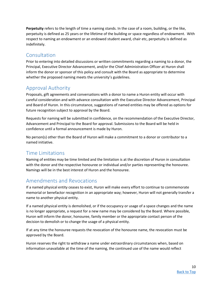**Perpetuity** refers to the length of time a naming stands. In the case of a room, building, or the like, perpetuity is defined as 25 years or the lifetime of the building or space regardless of endowment. With respect to naming an endowment or an endowed student award, chair etc, perpetuity is defined as indefinitely.

# <span id="page-10-0"></span>**Consultation**

Prior to entering into detailed discussions or written commitments regarding a naming to a donor, the Principal, Executive Director Advancement, and/or the Chief Administration Officer at Huron shall inform the donor or sponsor of this policy and consult with the Board as appropriate to determine whether the proposed naming meets the university's guidelines.

# <span id="page-10-1"></span>Approval Authority

Proposals, gift agreements and conversations with a donor to name a Huron entity will occur with careful consideration and with advance consultation with the Executive Director Advancement, Principal and Board of Huron. In this circumstance, suggestions of named entities may be offered as options for future recognition subject to approval by the Board.

Requests for naming will be submitted in confidence, on the recommendation of the Executive Director, Advancement and Principal to the Board for approval. Submissions to the Board will be held in confidence until a formal announcement is made by Huron.

No person(s) other than the Board of Huron will make a commitment to a donor or contributor to a named initiative.

# <span id="page-10-2"></span>Time Limitations

Naming of entities may be time limited and the limitation is at the discretion of Huron in consultation with the donor and the respective honouree or individual and/or parties representing the honouree. Namings will be in the best interest of Huron and the honouree.

# <span id="page-10-3"></span>Amendments and Revocations

If a named physical entity ceases to exist, Huron will make every effort to continue to commemorate memorial or benefactor recognition in an appropriate way; however, Huron will not generally transfer a name to another physical entity.

If a named physical entity is demolished, or if the occupancy or usage of a space changes and the name is no longer appropriate, a request for a new name may be considered by the Board. Where possible, Huron will inform the donor, honouree, family member or the appropriate contact person of the decision to demolish or to change the usage of a physical entity.

If at any time the honouree requests the revocation of the honouree name, the revocation must be approved by the Board.

Huron reserves the right to withdraw a name under extraordinary circumstances when, based on information unavailable at the time of the naming, the continued use of the name would reflect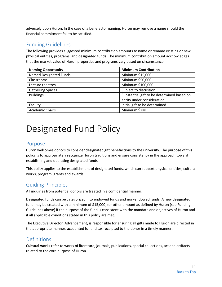adversely upon Huron. In the case of a benefactor naming, Huron may remove a name should the financial commitment fail to be satisfied.

# <span id="page-11-0"></span>Funding Guidelines

The following provides suggested minimum contribution amounts to name or rename existing or new physical entities, programs, and designated funds. The minimum contribution amount acknowledges that the market value of Huron properties and programs vary based on circumstance.

| <b>Naming Opportunity</b> | <b>Minimum Contribution</b>                |
|---------------------------|--------------------------------------------|
| Named Designated Funds    | Minimum \$15,000                           |
| Classrooms                | Minimum \$50,000                           |
| Lecture theatres          | Minimum \$100,000                          |
| <b>Gathering Spaces</b>   | Subject to discussion                      |
| <b>Buildings</b>          | Substantial gift to be determined based on |
|                           | entity under consideration                 |
| Faculty                   | Initial gift to be determined              |
| <b>Academic Chairs</b>    | Minimum \$2M                               |

# <span id="page-11-1"></span>Designated Fund Policy

# <span id="page-11-2"></span>Purpose

Huron welcomes donors to consider designated gift benefactions to the university. The purpose of this policy is to appropriately recognize Huron traditions and ensure consistency in the approach toward establishing and operating designated funds.

This policy applies to the establishment of designated funds, which can support physical entities, cultural works, program, grants and awards.

# <span id="page-11-3"></span>Guiding Principles

All inquiries from potential donors are treated in a confidential manner.

Designated funds can be categorized into endowed funds and non-endowed funds. A new designated fund may be created with a minimum of \$15,000, (or other amount as defined by Huron (see Funding Guidelines above) if the purpose of the fund is consistent with the mandate and objectives of Huron and if all applicable conditions stated in this policy are met.

The Executive Director, Advancement, is responsible for ensuring all gifts made to Huron are directed in the appropriate manner, accounted for and tax receipted to the donor in a timely manner.

# <span id="page-11-4"></span>Definitions

**Cultural works** refer to works of literature, journals, publications, special collections, art and artifacts related to the core purpose of Huron.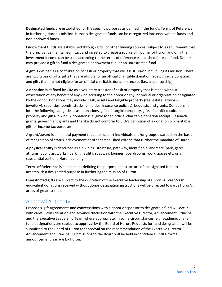**Designated funds** are established for the specific purposes as defined in the fund's Terms of Reference in furthering Huron's mission. Huron's designated funds can be categorized into endowment funds and non-endowed funds.

**Endowment funds** are established through gifts, or other funding sources, subject to a requirement that the principal be maintained intact and invested to create a source of income for Huron and only the investment income can be used according to the terms of reference established for each fund. Donors may provide a gift to fund a designated endowment fun, or an unrestricted fund.

A **gift** is defined as a contribution of cash or property that will assist Huron in fulfilling its mission. There are two types of gifts: gifts that are eligible for an official charitable donation receipt (i.e., a donation) and gifts that are not eligible for an official charitable donation receipt (i.e., a sponsorship).

A **donation** is defined by CRA as a voluntary transfer of cash or property that is made without expectation of any benefit of any kind accruing to the donor or any individual or organization designated by the donor. Donations may include: cash; assets and tangible property (real estate, artworks, jewellery); securities (bonds, stocks, annuities, insurance policies), bequests and grants. Donations fall into the following categories: cash donations, gifts of tangible property, gifts of certified cultural property and gifts-in-kind. A donation is eligible for an official charitable donation receipt. Research grants, government grants and the like do not conform to CRA's definition of a donation or charitable gift for income tax purposes.

A **grant/award** is a financial payment made to support individuals and/or groups awarded on the basis of recognition of status, achievement or other established criteria that further the mandate of Huron.

A **physical entity** is described as a building, structure, pathway, identifiable landmark (park, gates, atriums, public art works), parking facility, roadway, lounges, boardrooms, work spaces etc. or a substantial part of a Huron building.

**Terms of Reference** is a document defining the purpose and structure of a designated fund to accomplish a designated purpose in furthering the mission of Huron.

**Unrestricted gifts** are subject to the discretion of the executive leadership of Huron. All cash/cash equivalent donations received without donor designation instructions will be directed towards Huron's areas of greatest need.

# <span id="page-12-0"></span>Approval Authority

Proposals, gift agreements and conversations with a donor or sponsor to designate a fund will occur with careful consideration and advance discussion with the Executive Director, Advancement, Principal and the Executive Leadership Team where appropriate. In some circumstances (e.g. academic chairs), fund designations are subject to approval by the Board of Huron. Requests for fund designation will be submitted to the Board of Huron for approval on the recommendation of the Executive Director Advancement and Principal. Submissions to the Board will be held in confidence until a formal announcement is made by Huron.